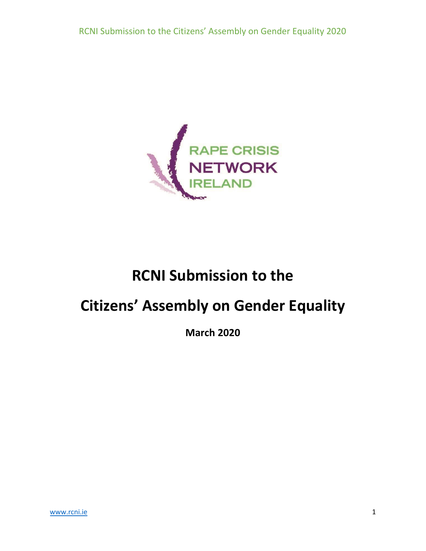

# **RCNI Submission to the**

# **Citizens' Assembly on Gender Equality**

**March 2020**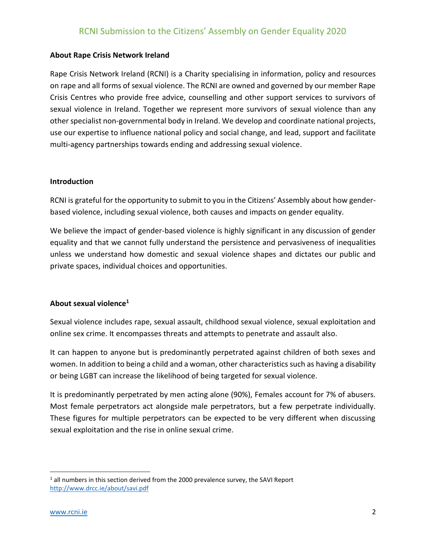#### **About Rape Crisis Network Ireland**

Rape Crisis Network Ireland (RCNI) is a Charity specialising in information, policy and resources on rape and all forms of sexual violence. The RCNI are owned and governed by our member Rape Crisis Centres who provide free advice, counselling and other support services to survivors of sexual violence in Ireland. Together we represent more survivors of sexual violence than any other specialist non-governmental body in Ireland. We develop and coordinate national projects, use our expertise to influence national policy and social change, and lead, support and facilitate multi-agency partnerships towards ending and addressing sexual violence.

#### **Introduction**

RCNI is grateful for the opportunity to submit to you in the Citizens' Assembly about how genderbased violence, including sexual violence, both causes and impacts on gender equality.

We believe the impact of gender-based violence is highly significant in any discussion of gender equality and that we cannot fully understand the persistence and pervasiveness of inequalities unless we understand how domestic and sexual violence shapes and dictates our public and private spaces, individual choices and opportunities.

#### **About sexual violence<sup>1</sup>**

Sexual violence includes rape, sexual assault, childhood sexual violence, sexual exploitation and online sex crime. It encompasses threats and attempts to penetrate and assault also.

It can happen to anyone but is predominantly perpetrated against children of both sexes and women. In addition to being a child and a woman, other characteristics such as having a disability or being LGBT can increase the likelihood of being targeted for sexual violence.

It is predominantly perpetrated by men acting alone (90%), Females account for 7% of abusers. Most female perpetrators act alongside male perpetrators, but a few perpetrate individually. These figures for multiple perpetrators can be expected to be very different when discussing sexual exploitation and the rise in online sexual crime.

 $\overline{a}$ 

 $1$  all numbers in this section derived from the 2000 prevalence survey, the SAVI Report <http://www.drcc.ie/about/savi.pdf>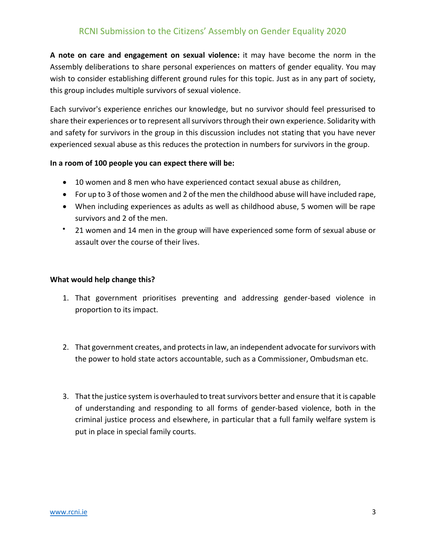**A note on care and engagement on sexual violence:** it may have become the norm in the Assembly deliberations to share personal experiences on matters of gender equality. You may wish to consider establishing different ground rules for this topic. Just as in any part of society, this group includes multiple survivors of sexual violence.

Each survivor's experience enriches our knowledge, but no survivor should feel pressurised to share their experiences or to represent all survivors through their own experience. Solidarity with and safety for survivors in the group in this discussion includes not stating that you have never experienced sexual abuse as this reduces the protection in numbers for survivors in the group.

#### **In a room of 100 people you can expect there will be:**

- 10 women and 8 men who have experienced contact sexual abuse as children,
- For up to 3 of those women and 2 of the men the childhood abuse will have included rape,
- When including experiences as adults as well as childhood abuse, 5 women will be rape survivors and 2 of the men.
- 21 women and 14 men in the group will have experienced some form of sexual abuse or assault over the course of their lives.

#### **What would help change this?**

- 1. That government prioritises preventing and addressing gender-based violence in proportion to its impact.
- 2. That government creates, and protects in law, an independent advocate for survivors with the power to hold state actors accountable, such as a Commissioner, Ombudsman etc.
- 3. That the justice system is overhauled to treat survivors better and ensure that it is capable of understanding and responding to all forms of gender-based violence, both in the criminal justice process and elsewhere, in particular that a full family welfare system is put in place in special family courts.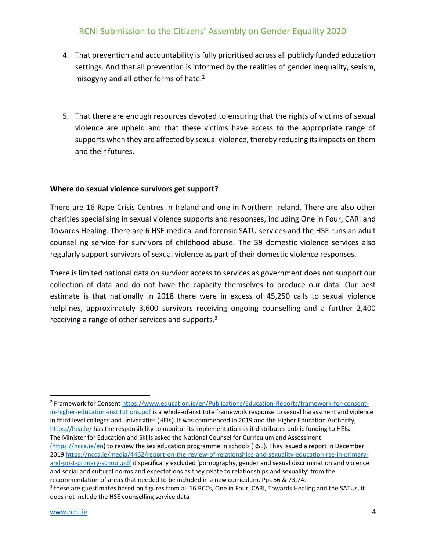- 4. That prevention and accountability is fully prioritised across all publicly funded education settings. And that all prevention is informed by the realities of gender inequality, sexism, misogyny and all other forms of hate.<sup>2</sup>
- 5. That there are enough resources devoted to ensuring that the rights of victims of sexual violence are upheld and that these victims have access to the appropriate range of supports when they are affected by sexual violence, thereby reducing its impacts on them and their futures.

#### **Where do sexual violence survivors get support?**

There are 16 Rape Crisis Centres in Ireland and one in Northern Ireland. There are also other charities specialising in sexual violence supports and responses, including One in Four, CARI and Towards Healing. There are 6 HSE medical and forensic SATU services and the HSE runs an adult counselling service for survivors of childhood abuse. The 39 domestic violence services also regularly support survivors of sexual violence as part of their domestic violence responses.

There is limited national data on survivor access to services as government does not support our collection of data and do not have the capacity themselves to produce our data. Our best estimate is that nationally in 2018 there were in excess of 45,250 calls to sexual violence helplines, approximately 3,600 survivors receiving ongoing counselling and a further 2,400 receiving a range of other services and supports.<sup>3</sup>

 $\overline{\phantom{a}}$ 

<sup>&</sup>lt;sup>2</sup> Framework for Consent [https://www.education.ie/en/Publications/Education-Reports/framework-for-consent](https://www.education.ie/en/Publications/Education-Reports/framework-for-consent-in-higher-education-institutions.pdf)[in-higher-education-institutions.pdf](https://www.education.ie/en/Publications/Education-Reports/framework-for-consent-in-higher-education-institutions.pdf) is a whole-of-institute framework response to sexual harassment and violence in third level colleges and universities (HEIs). It was commenced in 2019 and the Higher Education Authority, <https://hea.ie/> has the responsibility to monitor its implementation as it distributes public funding to HEIs. The Minister for Education and Skills asked the National Counsel for Curriculum and Assessment [\(https://ncca.ie/en\)](https://ncca.ie/en) to review the sex education programme in schools (RSE). They issued a report in December 201[9 https://ncca.ie/media/4462/report-on-the-review-of-relationships-and-sexuality-education-rse-in-primary](https://ncca.ie/media/4462/report-on-the-review-of-relationships-and-sexuality-education-rse-in-primary-and-post-primary-school.pdf)[and-post-primary-school.pdf](https://ncca.ie/media/4462/report-on-the-review-of-relationships-and-sexuality-education-rse-in-primary-and-post-primary-school.pdf) it specifically excluded 'pornography, gender and sexual discrimination and violence and social and cultural norms and expectations as they relate to relationships and sexuality' from the recommendation of areas that needed to be included in a new curriculum. Pps 56 & 73,74.

 $3$  these are guestimates based on figures from all 16 RCCs, One in Four, CARI, Towards Healing and the SATUs, it does not include the HSE counselling service data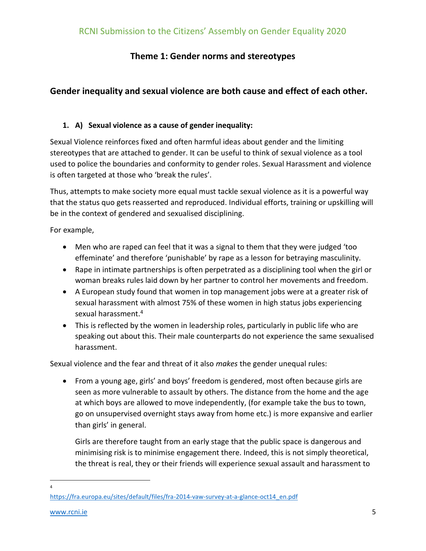# **Theme 1: Gender norms and stereotypes**

# **Gender inequality and sexual violence are both cause and effect of each other.**

## **1. A) Sexual violence as a cause of gender inequality:**

Sexual Violence reinforces fixed and often harmful ideas about gender and the limiting stereotypes that are attached to gender. It can be useful to think of sexual violence as a tool used to police the boundaries and conformity to gender roles. Sexual Harassment and violence is often targeted at those who 'break the rules'.

Thus, attempts to make society more equal must tackle sexual violence as it is a powerful way that the status quo gets reasserted and reproduced. Individual efforts, training or upskilling will be in the context of gendered and sexualised disciplining.

For example,

- Men who are raped can feel that it was a signal to them that they were judged 'too effeminate' and therefore 'punishable' by rape as a lesson for betraying masculinity.
- Rape in intimate partnerships is often perpetrated as a disciplining tool when the girl or woman breaks rules laid down by her partner to control her movements and freedom.
- A European study found that women in top management jobs were at a greater risk of sexual harassment with almost 75% of these women in high status jobs experiencing sexual harassment. 4
- This is reflected by the women in leadership roles, particularly in public life who are speaking out about this. Their male counterparts do not experience the same sexualised harassment.

Sexual violence and the fear and threat of it also *makes* the gender unequal rules:

• From a young age, girls' and boys' freedom is gendered, most often because girls are seen as more vulnerable to assault by others. The distance from the home and the age at which boys are allowed to move independently, (for example take the bus to town, go on unsupervised overnight stays away from home etc.) is more expansive and earlier than girls' in general.

Girls are therefore taught from an early stage that the public space is dangerous and minimising risk is to minimise engagement there. Indeed, this is not simply theoretical, the threat is real, they or their friends will experience sexual assault and harassment to

 $\overline{\phantom{a}}$ 4

[https://fra.europa.eu/sites/default/files/fra-2014-vaw-survey-at-a-glance-oct14\\_en.pdf](https://fra.europa.eu/sites/default/files/fra-2014-vaw-survey-at-a-glance-oct14_en.pdf)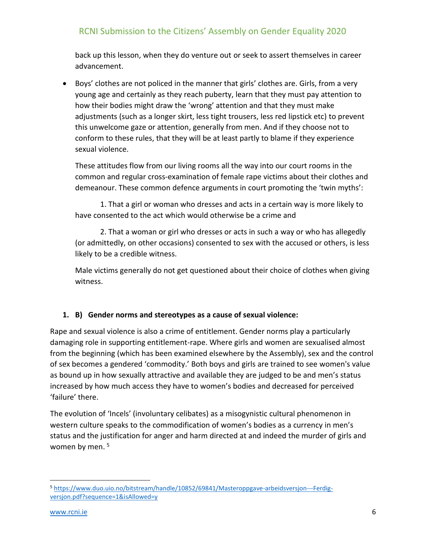back up this lesson, when they do venture out or seek to assert themselves in career advancement.

• Boys' clothes are not policed in the manner that girls' clothes are. Girls, from a very young age and certainly as they reach puberty, learn that they must pay attention to how their bodies might draw the 'wrong' attention and that they must make adjustments (such as a longer skirt, less tight trousers, less red lipstick etc) to prevent this unwelcome gaze or attention, generally from men. And if they choose not to conform to these rules, that they will be at least partly to blame if they experience sexual violence.

These attitudes flow from our living rooms all the way into our court rooms in the common and regular cross-examination of female rape victims about their clothes and demeanour. These common defence arguments in court promoting the 'twin myths':

1. That a girl or woman who dresses and acts in a certain way is more likely to have consented to the act which would otherwise be a crime and

2. That a woman or girl who dresses or acts in such a way or who has allegedly (or admittedly, on other occasions) consented to sex with the accused or others, is less likely to be a credible witness.

Male victims generally do not get questioned about their choice of clothes when giving witness.

## **1. B) Gender norms and stereotypes as a cause of sexual violence:**

Rape and sexual violence is also a crime of entitlement. Gender norms play a particularly damaging role in supporting entitlement-rape. Where girls and women are sexualised almost from the beginning (which has been examined elsewhere by the Assembly), sex and the control of sex becomes a gendered 'commodity.' Both boys and girls are trained to see women's value as bound up in how sexually attractive and available they are judged to be and men's status increased by how much access they have to women's bodies and decreased for perceived 'failure' there.

The evolution of 'Incels' (involuntary celibates) as a misogynistic cultural phenomenon in western culture speaks to the commodification of women's bodies as a currency in men's status and the justification for anger and harm directed at and indeed the murder of girls and women by men. 5

 $\overline{\phantom{a}}$ <sup>5</sup> [https://www.duo.uio.no/bitstream/handle/10852/69841/Masteroppgave-arbeidsversjon---Ferdig](https://www.duo.uio.no/bitstream/handle/10852/69841/Masteroppgave-arbeidsversjon---Ferdig-versjon.pdf?sequence=1&isAllowed=y)[versjon.pdf?sequence=1&isAllowed=y](https://www.duo.uio.no/bitstream/handle/10852/69841/Masteroppgave-arbeidsversjon---Ferdig-versjon.pdf?sequence=1&isAllowed=y)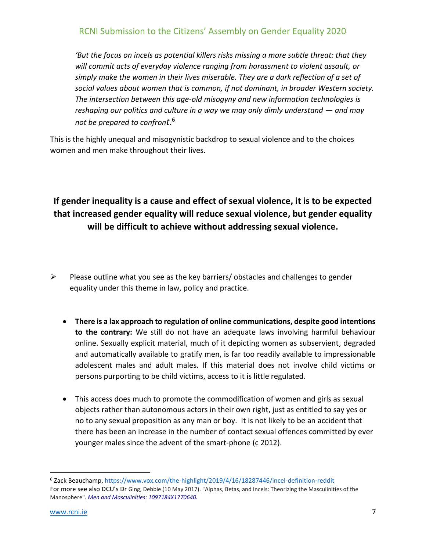*'But the focus on incels as potential killers risks missing a more subtle threat: that they will commit acts of everyday violence ranging from harassment to violent assault, or simply make the women in their lives miserable. They are a dark reflection of a set of social values about women that is common, if not dominant, in broader Western society. The intersection between this age-old misogyny and new information technologies is reshaping our politics and culture in a way we may only dimly understand — and may not be prepared to confront*. 6

This is the highly unequal and misogynistic backdrop to sexual violence and to the choices women and men make throughout their lives.

# **If gender inequality is a cause and effect of sexual violence, it is to be expected that increased gender equality will reduce sexual violence, but gender equality will be difficult to achieve without addressing sexual violence.**

- $\triangleright$  Please outline what you see as the key barriers/ obstacles and challenges to gender equality under this theme in law, policy and practice.
	- **There is a lax approach to regulation of online communications, despite good intentions to the contrary:** We still do not have an adequate laws involving harmful behaviour online. Sexually explicit material, much of it depicting women as subservient, degraded and automatically available to gratify men, is far too readily available to impressionable adolescent males and adult males. If this material does not involve child victims or persons purporting to be child victims, access to it is little regulated.
	- This access does much to promote the commodification of women and girls as sexual objects rather than autonomous actors in their own right, just as entitled to say yes or no to any sexual proposition as any man or boy. It is not likely to be an accident that there has been an increase in the number of contact sexual offences committed by ever younger males since the advent of the smart-phone (c 2012).

 $\overline{a}$ 

<sup>6</sup> Zack Beauchamp,<https://www.vox.com/the-highlight/2019/4/16/18287446/incel-definition-reddit> For more see also DCU's Dr Ging, Debbie (10 May 2017). "Alphas, Betas, and Incels: Theorizing the Masculinities of the Manosphere". *[Men and Masculinities:](https://en.wikipedia.org/wiki/Men_and_Masculinities) 1097184X1770640.*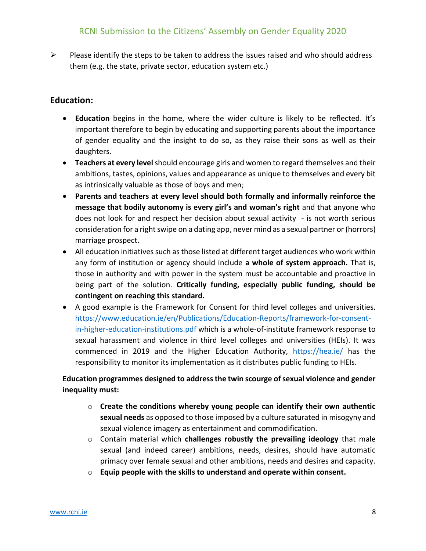$\triangleright$  Please identify the steps to be taken to address the issues raised and who should address them (e.g. the state, private sector, education system etc.)

## **Education:**

- **Education** begins in the home, where the wider culture is likely to be reflected. It's important therefore to begin by educating and supporting parents about the importance of gender equality and the insight to do so, as they raise their sons as well as their daughters.
- **Teachers at every level** should encourage girls and women to regard themselves and their ambitions, tastes, opinions, values and appearance as unique to themselves and every bit as intrinsically valuable as those of boys and men;
- **Parents and teachers at every level should both formally and informally reinforce the message that bodily autonomy is every girl's and woman's right** and that anyone who does not look for and respect her decision about sexual activity - is not worth serious consideration for a right swipe on a dating app, never mind as a sexual partner or (horrors) marriage prospect.
- All education initiatives such as those listed at different target audiences who work within any form of institution or agency should include **a whole of system approach.** That is, those in authority and with power in the system must be accountable and proactive in being part of the solution. **Critically funding, especially public funding, should be contingent on reaching this standard.**
- A good example is the Framework for Consent for third level colleges and universities. [https://www.education.ie/en/Publications/Education-Reports/framework-for-consent](https://www.education.ie/en/Publications/Education-Reports/framework-for-consent-in-higher-education-institutions.pdf)[in-higher-education-institutions.pdf](https://www.education.ie/en/Publications/Education-Reports/framework-for-consent-in-higher-education-institutions.pdf) which is a whole-of-institute framework response to sexual harassment and violence in third level colleges and universities (HEIs). It was commenced in 2019 and the Higher Education Authority, <https://hea.ie/> has the responsibility to monitor its implementation as it distributes public funding to HEIs.

## **Education programmes designed to address the twin scourge of sexual violence and gender inequality must:**

- o **Create the conditions whereby young people can identify their own authentic sexual needs** as opposed to those imposed by a culture saturated in misogyny and sexual violence imagery as entertainment and commodification.
- o Contain material which **challenges robustly the prevailing ideology** that male sexual (and indeed career) ambitions, needs, desires, should have automatic primacy over female sexual and other ambitions, needs and desires and capacity.
- o **Equip people with the skills to understand and operate within consent.**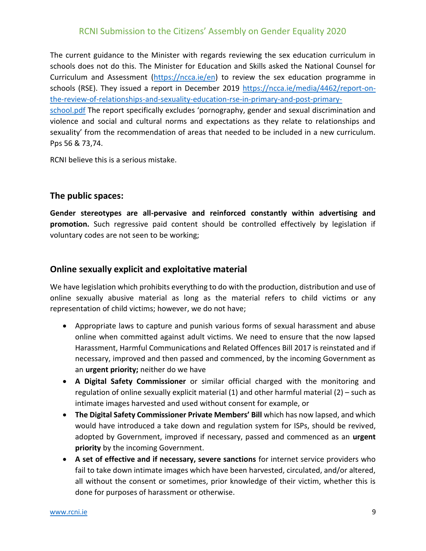The current guidance to the Minister with regards reviewing the sex education curriculum in schools does not do this. The Minister for Education and Skills asked the National Counsel for Curriculum and Assessment [\(https://ncca.ie/en\)](https://ncca.ie/en) to review the sex education programme in schools (RSE). They issued a report in December 2019 [https://ncca.ie/media/4462/report-on](https://ncca.ie/media/4462/report-on-the-review-of-relationships-and-sexuality-education-rse-in-primary-and-post-primary-school.pdf)[the-review-of-relationships-and-sexuality-education-rse-in-primary-and-post-primary](https://ncca.ie/media/4462/report-on-the-review-of-relationships-and-sexuality-education-rse-in-primary-and-post-primary-school.pdf)[school.pdf](https://ncca.ie/media/4462/report-on-the-review-of-relationships-and-sexuality-education-rse-in-primary-and-post-primary-school.pdf) The report specifically excludes 'pornography, gender and sexual discrimination and

violence and social and cultural norms and expectations as they relate to relationships and sexuality' from the recommendation of areas that needed to be included in a new curriculum. Pps 56 & 73,74.

RCNI believe this is a serious mistake.

#### **The public spaces:**

**Gender stereotypes are all-pervasive and reinforced constantly within advertising and promotion.** Such regressive paid content should be controlled effectively by legislation if voluntary codes are not seen to be working;

## **Online sexually explicit and exploitative material**

We have legislation which prohibits everything to do with the production, distribution and use of online sexually abusive material as long as the material refers to child victims or any representation of child victims; however, we do not have;

- Appropriate laws to capture and punish various forms of sexual harassment and abuse online when committed against adult victims. We need to ensure that the now lapsed Harassment, Harmful Communications and Related Offences Bill 2017 is reinstated and if necessary, improved and then passed and commenced, by the incoming Government as an **urgent priority;** neither do we have
- **A Digital Safety Commissioner** or similar official charged with the monitoring and regulation of online sexually explicit material (1) and other harmful material (2) – such as intimate images harvested and used without consent for example, or
- **The Digital Safety Commissioner Private Members' Bill** which has now lapsed, and which would have introduced a take down and regulation system for ISPs, should be revived, adopted by Government, improved if necessary, passed and commenced as an **urgent priority** by the incoming Government.
- **A set of effective and if necessary, severe sanctions** for internet service providers who fail to take down intimate images which have been harvested, circulated, and/or altered, all without the consent or sometimes, prior knowledge of their victim, whether this is done for purposes of harassment or otherwise.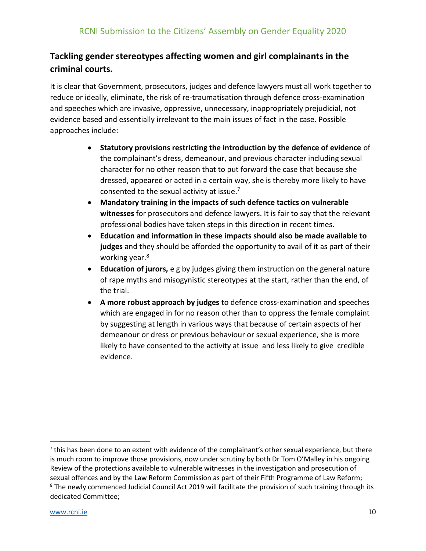# **Tackling gender stereotypes affecting women and girl complainants in the criminal courts.**

It is clear that Government, prosecutors, judges and defence lawyers must all work together to reduce or ideally, eliminate, the risk of re-traumatisation through defence cross-examination and speeches which are invasive, oppressive, unnecessary, inappropriately prejudicial, not evidence based and essentially irrelevant to the main issues of fact in the case. Possible approaches include:

- **Statutory provisions restricting the introduction by the defence of evidence** of the complainant's dress, demeanour, and previous character including sexual character for no other reason that to put forward the case that because she dressed, appeared or acted in a certain way, she is thereby more likely to have consented to the sexual activity at issue. 7
- **Mandatory training in the impacts of such defence tactics on vulnerable witnesses** for prosecutors and defence lawyers. It is fair to say that the relevant professional bodies have taken steps in this direction in recent times.
- **Education and information in these impacts should also be made available to judges** and they should be afforded the opportunity to avail of it as part of their working year.<sup>8</sup>
- **Education of jurors,** e g by judges giving them instruction on the general nature of rape myths and misogynistic stereotypes at the start, rather than the end, of the trial.
- **A more robust approach by judges** to defence cross-examination and speeches which are engaged in for no reason other than to oppress the female complaint by suggesting at length in various ways that because of certain aspects of her demeanour or dress or previous behaviour or sexual experience, she is more likely to have consented to the activity at issue and less likely to give credible evidence.

 $\overline{\phantom{a}}$ 

 $^7$  this has been done to an extent with evidence of the complainant's other sexual experience, but there is much room to improve those provisions, now under scrutiny by both Dr Tom O'Malley in his ongoing Review of the protections available to vulnerable witnesses in the investigation and prosecution of sexual offences and by the Law Reform Commission as part of their Fifth Programme of Law Reform; <sup>8</sup> The newly commenced Judicial Council Act 2019 will facilitate the provision of such training through its dedicated Committee;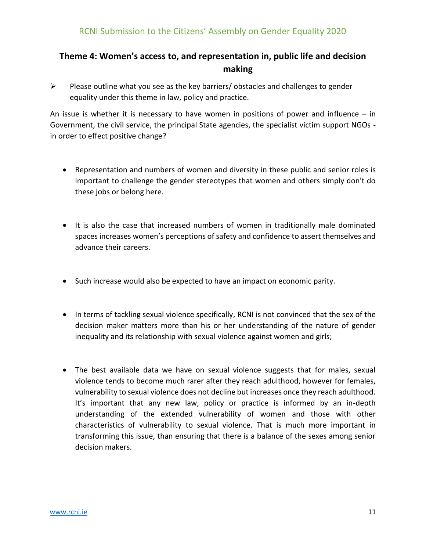# **Theme 4: Women's access to, and representation in, public life and decision making**

 $\triangleright$  Please outline what you see as the key barriers/ obstacles and challenges to gender equality under this theme in law, policy and practice.

An issue is whether it is necessary to have women in positions of power and influence  $-$  in Government, the civil service, the principal State agencies, the specialist victim support NGOs in order to effect positive change?

- Representation and numbers of women and diversity in these public and senior roles is important to challenge the gender stereotypes that women and others simply don't do these jobs or belong here.
- It is also the case that increased numbers of women in traditionally male dominated spaces increases women's perceptions of safety and confidence to assert themselves and advance their careers.
- Such increase would also be expected to have an impact on economic parity.
- In terms of tackling sexual violence specifically, RCNI is not convinced that the sex of the decision maker matters more than his or her understanding of the nature of gender inequality and its relationship with sexual violence against women and girls;
- The best available data we have on sexual violence suggests that for males, sexual violence tends to become much rarer after they reach adulthood, however for females, vulnerability to sexual violence does not decline but increases once they reach adulthood. It's important that any new law, policy or practice is informed by an in-depth understanding of the extended vulnerability of women and those with other characteristics of vulnerability to sexual violence. That is much more important in transforming this issue, than ensuring that there is a balance of the sexes among senior decision makers.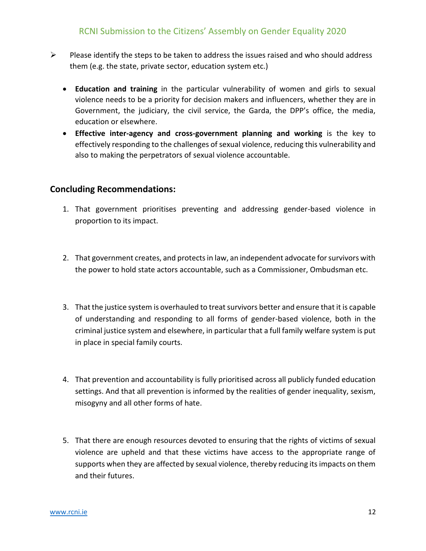- $\triangleright$  Please identify the steps to be taken to address the issues raised and who should address them (e.g. the state, private sector, education system etc.)
	- **Education and training** in the particular vulnerability of women and girls to sexual violence needs to be a priority for decision makers and influencers, whether they are in Government, the judiciary, the civil service, the Garda, the DPP's office, the media, education or elsewhere.
	- **Effective inter-agency and cross-government planning and working** is the key to effectively responding to the challenges of sexual violence, reducing this vulnerability and also to making the perpetrators of sexual violence accountable.

## **Concluding Recommendations:**

- 1. That government prioritises preventing and addressing gender-based violence in proportion to its impact.
- 2. That government creates, and protects in law, an independent advocate for survivors with the power to hold state actors accountable, such as a Commissioner, Ombudsman etc.
- 3. That the justice system is overhauled to treat survivors better and ensure that it is capable of understanding and responding to all forms of gender-based violence, both in the criminal justice system and elsewhere, in particular that a full family welfare system is put in place in special family courts.
- 4. That prevention and accountability is fully prioritised across all publicly funded education settings. And that all prevention is informed by the realities of gender inequality, sexism, misogyny and all other forms of hate.
- 5. That there are enough resources devoted to ensuring that the rights of victims of sexual violence are upheld and that these victims have access to the appropriate range of supports when they are affected by sexual violence, thereby reducing its impacts on them and their futures.